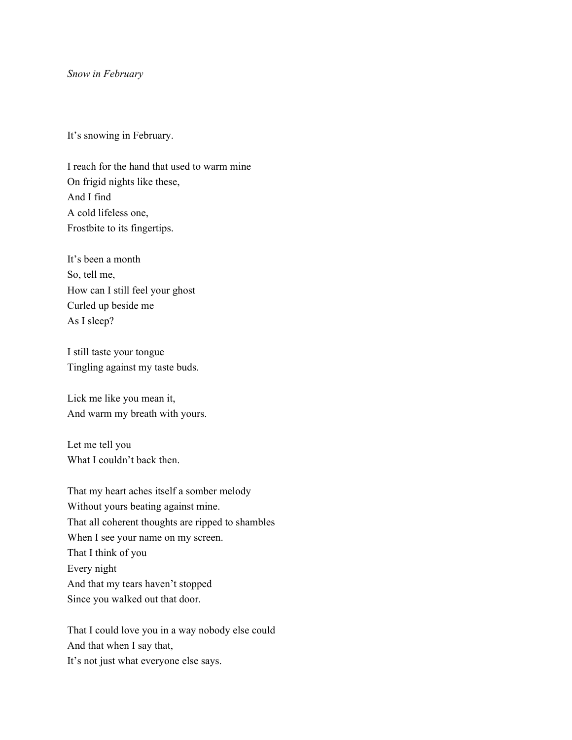## *Snow in February*

It's snowing in February.

I reach for the hand that used to warm mine On frigid nights like these, And I find A cold lifeless one, Frostbite to its fingertips.

It's been a month So, tell me, How can I still feel your ghost Curled up beside me As I sleep?

I still taste your tongue Tingling against my taste buds.

Lick me like you mean it, And warm my breath with yours.

Let me tell you What I couldn't back then.

That my heart aches itself a somber melody Without yours beating against mine. That all coherent thoughts are ripped to shambles When I see your name on my screen. That I think of you Every night And that my tears haven't stopped Since you walked out that door.

That I could love you in a way nobody else could And that when I say that, It's not just what everyone else says.